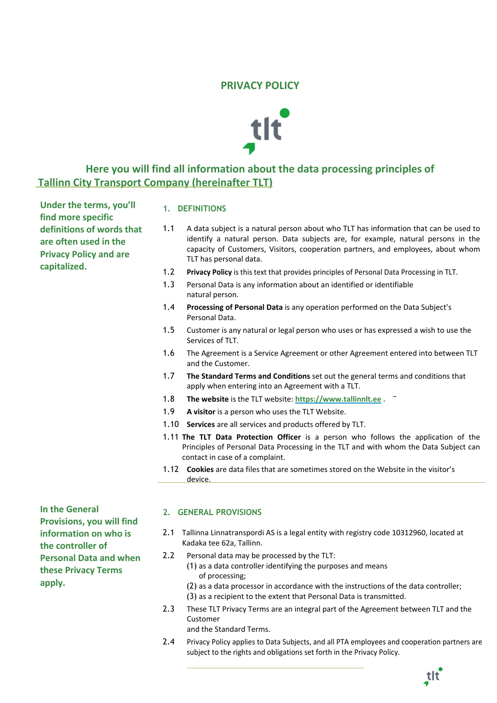# **PRIVACY POLICY**



# **Here you will find all information about the data processing principles of Tallinn City Transport Company (hereinafter TLT)**

**Under the terms, you'll find more specific definitions of words that are often used in the Privacy Policy and are capitalized.**

## **1. DEFINITIONS**

- 1.1 A data subject is a natural person about who TLT has information that can be used to identify a natural person. Data subjects are, for example, natural persons in the capacity of Customers, Visitors, cooperation partners, and employees, about whom TLT has personal data.
- 1.2 **Privacy Policy** is this text that provides principles of Personal Data Processing in TLT.
- 1.3 Personal Data is any information about an identified or identifiable natural person.
- 1.4 **Processing of Personal Data** is any operation performed on the Data Subject's Personal Data.
- 1.5 Customer is any natural or legal person who uses or has expressed a wish to use the Services of TLT.
- 1.6 The Agreement is a Service Agreement or other Agreement entered into between TLT and the Customer.
- 1.7 **The Standard Terms and Conditions** set out the general terms and conditions that apply when entering into an Agreement with a TLT.
- 1.8 **The website** is the TLT website: **[https://www.tallinnlt.ee](https://www.tallinnlt.ee/) .**
- 1.9 **A visitor** is a person who uses the TLT Website.
- 1.10 **Services** are all services and products offered by TLT.
- 1.11 **The TLT Data Protection Officer** is a person who follows the application of the Principles of Personal Data Processing in the TLT and with whom the Data Subject can contact in case of a complaint.
- 1.12 **Cookies** are data files that are sometimes stored on the Website in the visitor's device.

**In the General Provisions, you will find information on who is the controller of Personal Data and when these Privacy Terms apply.**

## **2. GENERAL PROVISIONS**

- 2.1 Tallinna Linnatranspordi AS is a legal entity with registry code 10312960, located at Kadaka tee 62a, Tallinn.
- 2.2 Personal data may be processed by the TLT:
	- (1) as a data controller identifying the purposes and means of processing;
	- (2) as a data processor in accordance with the instructions of the data controller; (3) as a recipient to the extent that Personal Data is transmitted.
- 2.3 These TLT Privacy Terms are an integral part of the Agreement between TLT and the Customer

and the Standard Terms.

2.4 Privacy Policy applies to Data Subjects, and all PTA employees and cooperation partners are subject to the rights and obligations set forth in the Privacy Policy.

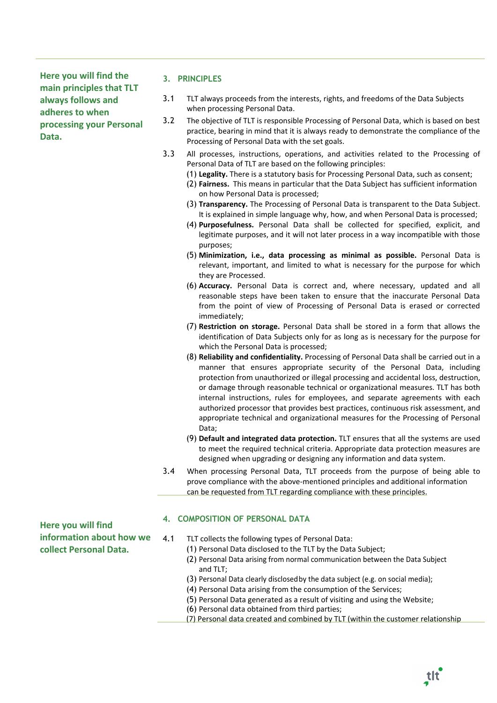**Here you will find the main principles that TLT always follows and adheres to when processing your Personal Data.**

## **3. PRINCIPLES**

- 3.1 TLT always proceeds from the interests, rights, and freedoms of the Data Subjects when processing Personal Data.
- 3.2 The objective of TLT is responsible Processing of Personal Data, which is based on best practice, bearing in mind that it is always ready to demonstrate the compliance of the Processing of Personal Data with the set goals.
- 3.3 All processes, instructions, operations, and activities related to the Processing of Personal Data of TLT are based on the following principles:
	- (1) **Legality.** There is a statutory basis for Processing Personal Data, such as consent;
	- (2) **Fairness.** This means in particular that the Data Subject has sufficient information on how Personal Data is processed;
	- (3) **Transparency.** The Processing of Personal Data is transparent to the Data Subject. It is explained in simple language why, how, and when Personal Data is processed;
	- (4) **Purposefulness.** Personal Data shall be collected for specified, explicit, and legitimate purposes, and it will not later process in a way incompatible with those purposes;
	- (5) **Minimization, i.e., data processing as minimal as possible.** Personal Data is relevant, important, and limited to what is necessary for the purpose for which they are Processed.
	- (6) **Accuracy.** Personal Data is correct and, where necessary, updated and all reasonable steps have been taken to ensure that the inaccurate Personal Data from the point of view of Processing of Personal Data is erased or corrected immediately;
	- (7) **Restriction on storage.** Personal Data shall be stored in a form that allows the identification of Data Subjects only for as long as is necessary for the purpose for which the Personal Data is processed;
	- (8) **Reliability and confidentiality.** Processing of Personal Data shall be carried out in a manner that ensures appropriate security of the Personal Data, including protection from unauthorized or illegal processing and accidental loss, destruction, or damage through reasonable technical or organizational measures. TLT has both internal instructions, rules for employees, and separate agreements with each authorized processor that provides best practices, continuous risk assessment, and appropriate technical and organizational measures for the Processing of Personal Data;
	- (9) **Default and integrated data protection.** TLT ensures that all the systems are used to meet the required technical criteria. Appropriate data protection measures are designed when upgrading or designing any information and data system.
- 3.4 When processing Personal Data, TLT proceeds from the purpose of being able to prove compliance with the above-mentioned principles and additional information can be requested from TLT regarding compliance with these principles.

# **4. COMPOSITION OF PERSONAL DATA**

- 4.1 TLT collects the following types of Personal Data: (1) Personal Data disclosed to the TLT by the Data Subject; (2) Personal Data arising from normal communication between the Data Subject and TLT;
	- (3) Personal Data clearly disclosedby the data subject (e.g. on social media);
	- (4) Personal Data arising from the consumption of the Services;
	- (5) Personal Data generated as a result of visiting and using the Website;
	- (6) Personal data obtained from third parties;
	- (7) Personal data created and combined by TLT (within the customer relationship

**Here you will find information about how we collect Personal Data.**

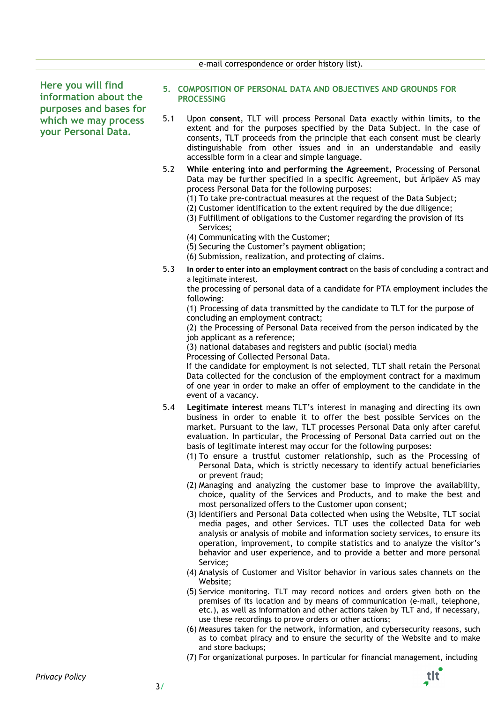e-mail correspondence or order history list).

**Here you will find information about the purposes and bases for which we may process your Personal Data.**

- **5. COMPOSITION OF PERSONAL DATA AND OBJECTIVES AND GROUNDS FOR PROCESSING**
- 5.1 Upon **consent**, TLT will process Personal Data exactly within limits, to the extent and for the purposes specified by the Data Subject. In the case of consents, TLT proceeds from the principle that each consent must be clearly distinguishable from other issues and in an understandable and easily accessible form in a clear and simple language.
- 5.2 **While entering into and performing the Agreement**, Processing of Personal Data may be further specified in a specific Agreement, but Äripäev AS may process Personal Data for the following purposes:
	- (1) To take pre-contractual measures at the request of the Data Subject;
	- (2) Customer identification to the extent required by the due diligence;
	- (3) Fulfillment of obligations to the Customer regarding the provision of its Services;
	- (4) Communicating with the Customer;
	- (5) Securing the Customer's payment obligation;
	- (6) Submission, realization, and protecting of claims.
- 5.3 **In order to enter into an employment contract** on the basis of concluding a contract and a legitimate interest,

the processing of personal data of a candidate for PTA employment includes the following:

(1) Processing of data transmitted by the candidate to TLT for the purpose of concluding an employment contract;

(2) the Processing of Personal Data received from the person indicated by the job applicant as a reference;

(3) national databases and registers and public (social) media Processing of Collected Personal Data.

If the candidate for employment is not selected, TLT shall retain the Personal Data collected for the conclusion of the employment contract for a maximum of one year in order to make an offer of employment to the candidate in the event of a vacancy.

- 5.4 **Legitimate interest** means TLT's interest in managing and directing its own business in order to enable it to offer the best possible Services on the market. Pursuant to the law, TLT processes Personal Data only after careful evaluation. In particular, the Processing of Personal Data carried out on the basis of legitimate interest may occur for the following purposes:
	- (1) To ensure a trustful customer relationship, such as the Processing of Personal Data, which is strictly necessary to identify actual beneficiaries or prevent fraud;
	- (2) Managing and analyzing the customer base to improve the availability, choice, quality of the Services and Products, and to make the best and most personalized offers to the Customer upon consent;
	- (3) Identifiers and Personal Data collected when using the Website, TLT social media pages, and other Services. TLT uses the collected Data for web analysis or analysis of mobile and information society services, to ensure its operation, improvement, to compile statistics and to analyze the visitor's behavior and user experience, and to provide a better and more personal Service;
	- (4) Analysis of Customer and Visitor behavior in various sales channels on the Website<sup>\*</sup>
	- (5) Service monitoring. TLT may record notices and orders given both on the premises of its location and by means of communication (e-mail, telephone, etc.), as well as information and other actions taken by TLT and, if necessary, use these recordings to prove orders or other actions;
	- (6) Measures taken for the network, information, and cybersecurity reasons, such as to combat piracy and to ensure the security of the Website and to make and store backups;
	- (7) For organizational purposes. In particular for financial management, including

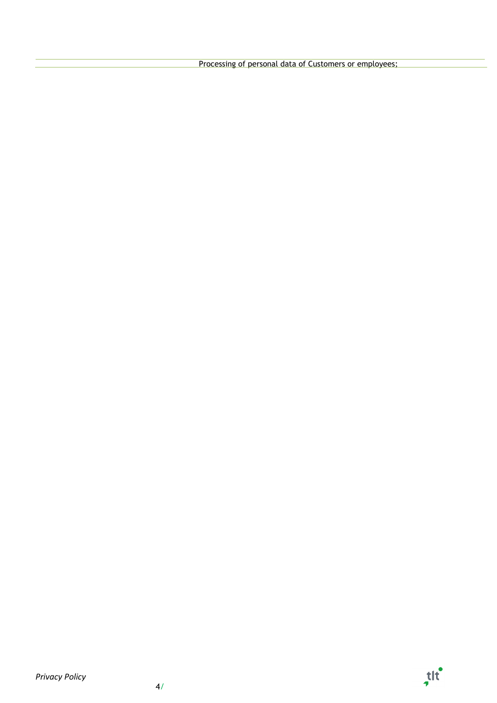Processing of personal data of Customers or employees;

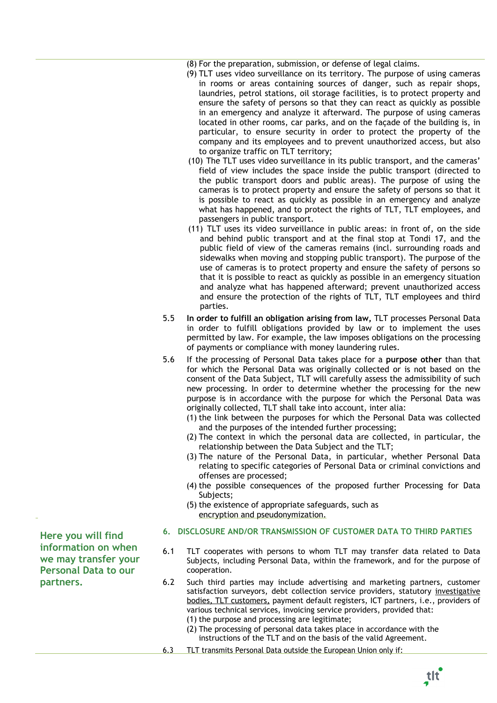(8) For the preparation, submission, or defense of legal claims.

- (9) TLT uses video surveillance on its territory. The purpose of using cameras in rooms or areas containing sources of danger, such as repair shops, laundries, petrol stations, oil storage facilities, is to protect property and ensure the safety of persons so that they can react as quickly as possible in an emergency and analyze it afterward. The purpose of using cameras located in other rooms, car parks, and on the façade of the building is, in particular, to ensure security in order to protect the property of the company and its employees and to prevent unauthorized access, but also to organize traffic on TLT territory;
- (10) The TLT uses video surveillance in its public transport, and the cameras' field of view includes the space inside the public transport (directed to the public transport doors and public areas). The purpose of using the cameras is to protect property and ensure the safety of persons so that it is possible to react as quickly as possible in an emergency and analyze what has happened, and to protect the rights of TLT, TLT employees, and passengers in public transport.
- (11) TLT uses its video surveillance in public areas: in front of, on the side and behind public transport and at the final stop at Tondi 17, and the public field of view of the cameras remains (incl. surrounding roads and sidewalks when moving and stopping public transport). The purpose of the use of cameras is to protect property and ensure the safety of persons so that it is possible to react as quickly as possible in an emergency situation and analyze what has happened afterward; prevent unauthorized access and ensure the protection of the rights of TLT, TLT employees and third parties.
- 5.5 **In order to fulfill an obligation arising from law,** TLT processes Personal Data in order to fulfill obligations provided by law or to implement the uses permitted by law. For example, the law imposes obligations on the processing of payments or compliance with money laundering rules.
- 5.6 If the processing of Personal Data takes place for a **purpose other** than that for which the Personal Data was originally collected or is not based on the consent of the Data Subject, TLT will carefully assess the admissibility of such new processing. In order to determine whether the processing for the new purpose is in accordance with the purpose for which the Personal Data was originally collected, TLT shall take into account, inter alia:
	- (1) the link between the purposes for which the Personal Data was collected and the purposes of the intended further processing;
	- (2) The context in which the personal data are collected, in particular, the relationship between the Data Subject and the TLT;
	- (3) The nature of the Personal Data, in particular, whether Personal Data relating to specific categories of Personal Data or criminal convictions and offenses are processed;
	- (4) the possible consequences of the proposed further Processing for Data Subjects;
	- (5) the existence of appropriate safeguards, such as encryption and pseudonymization.
- **6. DISCLOSURE AND/OR TRANSMISSION OF CUSTOMER DATA TO THIRD PARTIES**
- 6.1 TLT cooperates with persons to whom TLT may transfer data related to Data Subjects, including Personal Data, within the framework, and for the purpose of cooperation.
- 6.2 Such third parties may include advertising and marketing partners, customer satisfaction surveyors, debt collection service providers, statutory investigative bodies, TLT customers, payment default registers, ICT partners, i.e., providers of various technical services, invoicing service providers, provided that:
	- (1) the purpose and processing are legitimate;
	- (2) The processing of personal data takes place in accordance with the instructions of the TLT and on the basis of the valid Agreement.
- 6.3 TLT transmits Personal Data outside the European Union only if:

**Here you will find information on when we may transfer your Personal Data to our partners.**

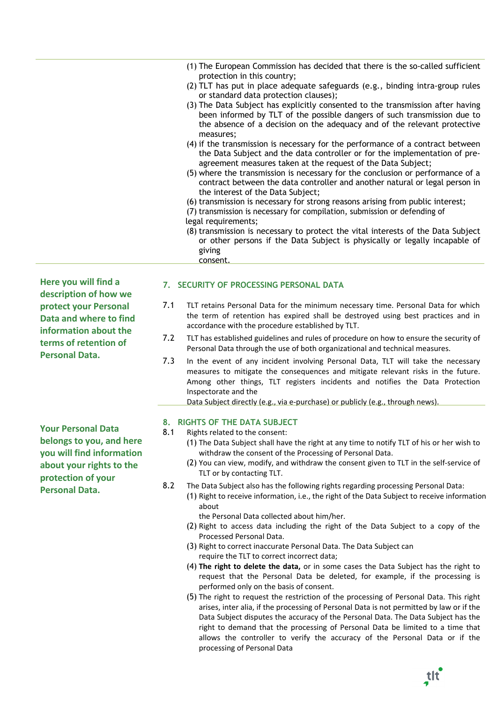| (1) The European Commission has decided that there is the so-called sufficient<br>protection in this country;                                                                                                                                       |
|-----------------------------------------------------------------------------------------------------------------------------------------------------------------------------------------------------------------------------------------------------|
| (2) TLT has put in place adequate safeguards (e.g., binding intra-group rules<br>or standard data protection clauses);                                                                                                                              |
| (3) The Data Subject has explicitly consented to the transmission after having<br>been informed by TLT of the possible dangers of such transmission due to<br>the absence of a decision on the adequacy and of the relevant protective<br>measures; |
| (4) if the transmission is necessary for the performance of a contract between<br>the Data Subject and the data controller or for the implementation of pre-<br>agreement measures taken at the request of the Data Subject;                        |
| (5) where the transmission is necessary for the conclusion or performance of a<br>contract between the data controller and another natural or legal person in<br>the interest of the Data Subject;                                                  |
| (6) transmission is necessary for strong reasons arising from public interest;                                                                                                                                                                      |
| (7) transmission is necessary for compilation, submission or defending of<br>legal requirements;                                                                                                                                                    |
| (8) transmission is necessary to protect the vital interests of the Data Subject<br>or other persons if the Data Subject is physically or legally incapable of                                                                                      |
|                                                                                                                                                                                                                                                     |

giving consent.

**7. SECURITY OF PROCESSING PERSONAL DATA**

- **Here you will find a description of how we protect your Personal Data and where to find information about the terms of retention of Personal Data.**
- **Your Personal Data belongs to you, and here you will find information about your rights to the protection of your Personal Data.**
- 7.1 TLT retains Personal Data for the minimum necessary time. Personal Data for which the term of retention has expired shall be destroyed using best practices and in accordance with the procedure established by TLT.
- 7.2 TLT has established guidelines and rules of procedure on how to ensure the security of Personal Data through the use of both organizational and technical measures.
- 7.3 In the event of any incident involving Personal Data, TLT will take the necessary measures to mitigate the consequences and mitigate relevant risks in the future. Among other things, TLT registers incidents and notifies the Data Protection Inspectorate and the

Data Subject directly (e.g., via e-purchase) or publicly (e.g., through news).

- **8. RIGHTS OF THE DATA SUBJECT**
- 8.1 Rights related to the consent:
	- (1) The Data Subject shall have the right at any time to notify TLT of his or her wish to withdraw the consent of the Processing of Personal Data.
	- (2) You can view, modify, and withdraw the consent given to TLT in the self-service of TLT or by contacting TLT.
- 8.2 The Data Subject also has the following rights regarding processing Personal Data:
	- (1) Right to receive information, i.e., the right of the Data Subject to receive information about

the Personal Data collected about him/her.

- (2) Right to access data including the right of the Data Subject to a copy of the Processed Personal Data.
- (3) Right to correct inaccurate Personal Data. The Data Subject can require the TLT to correct incorrect data;
- (4) **The right to delete the data,** or in some cases the Data Subject has the right to request that the Personal Data be deleted, for example, if the processing is performed only on the basis of consent.
- (5) The right to request the restriction of the processing of Personal Data. This right arises, inter alia, if the processing of Personal Data is not permitted by law or if the Data Subject disputes the accuracy of the Personal Data. The Data Subject has the right to demand that the processing of Personal Data be limited to a time that allows the controller to verify the accuracy of the Personal Data or if the processing of Personal Data

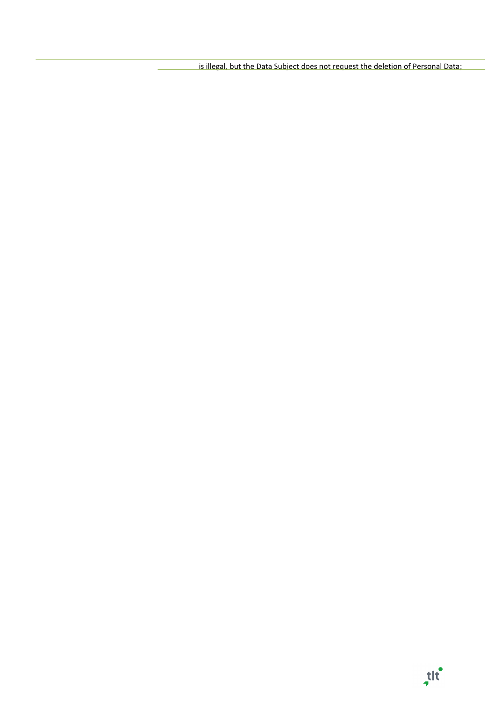is illegal, but the Data Subject does not request the deletion of Personal Data;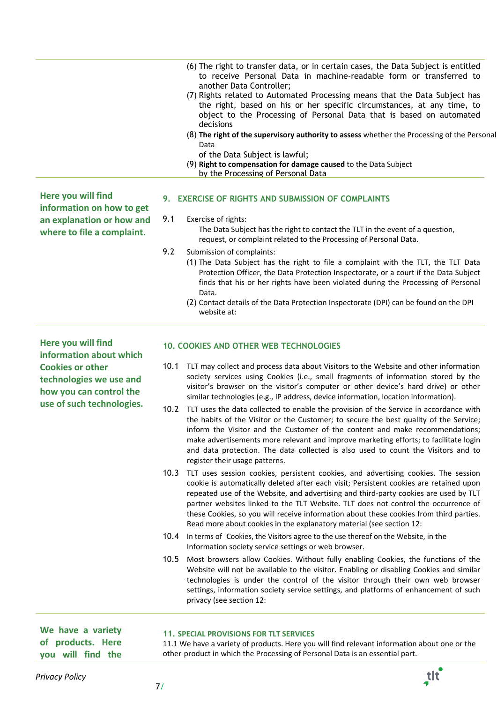(6) The right to transfer data, or in certain cases, the Data Subject is entitled to receive Personal Data in machine-readable form or transferred to another Data Controller; (7) Rights related to Automated Processing means that the Data Subject has the right, based on his or her specific circumstances, at any time, to object to the Processing of Personal Data that is based on automated decisions (8) **The right of the supervisory authority to assess** whether the Processing of the Personal Data of the Data Subject is lawful; (9) **Right to compensation for damage caused** to the Data Subject by the Processing of Personal Data

**Here you will find information on how to get an explanation or how and where to file a complaint.**

## **9. EXERCISE OF RIGHTS AND SUBMISSION OF COMPLAINTS**

# 9.1 Exercise of rights:

The Data Subject has the right to contact the TLT in the event of a question, request, or complaint related to the Processing of Personal Data.

- 9.2 Submission of complaints:
	- (1) The Data Subject has the right to file a complaint with the TLT, the TLT Data Protection Officer, the Data Protection Inspectorate, or a court if the Data Subject finds that his or her rights have been violated during the Processing of Personal Data.
	- (2) Contact details of the Data Protection Inspectorate (DPI) can be found on the DPI website at:

**Here you will find information about which Cookies or other technologies we use and how you can control the use of such technologies.**

#### **10. COOKIES AND OTHER WEB TECHNOLOGIES**

- 10.1 TLT may collect and process data about Visitors to the Website and other information society services using Cookies (i.e., small fragments of information stored by the visitor's browser on the visitor's computer or other device's hard drive) or other similar technologies (e.g., IP address, device information, location information).
- 10.2 TLT uses the data collected to enable the provision of the Service in accordance with the habits of the Visitor or the Customer; to secure the best quality of the Service; inform the Visitor and the Customer of the content and make recommendations; make advertisements more relevant and improve marketing efforts; to facilitate login and data protection. The data collected is also used to count the Visitors and to register their usage patterns.
- 10.3 TLT uses session cookies, persistent cookies, and advertising cookies. The session cookie is automatically deleted after each visit; Persistent cookies are retained upon repeated use of the Website, and advertising and third-party cookies are used by TLT partner websites linked to the TLT Website. TLT does not control the occurrence of these Cookies, so you will receive information about these cookies from third parties. Read more about cookies in the explanatory material (see section 12:
- 10.4 In terms of Cookies, the Visitors agree to the use thereof on the Website, in the Information society service settings or web browser.
- 10.5 Most browsers allow Cookies. Without fully enabling Cookies, the functions of the Website will not be available to the visitor. Enabling or disabling Cookies and similar technologies is under the control of the visitor through their own web browser settings, information society service settings, and platforms of enhancement of such privacy (see section 12:

**We have a variety of products. Here you will find the**

#### **11. SPECIAL PROVISIONS FOR TLT SERVICES**

11.1 We have a variety of products. Here you will find relevant information about one or the other product in which the Processing of Personal Data is an essential part.

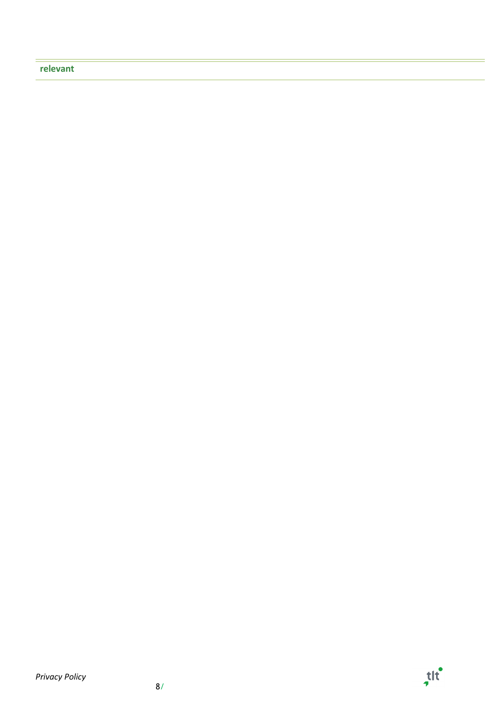# **relevant**